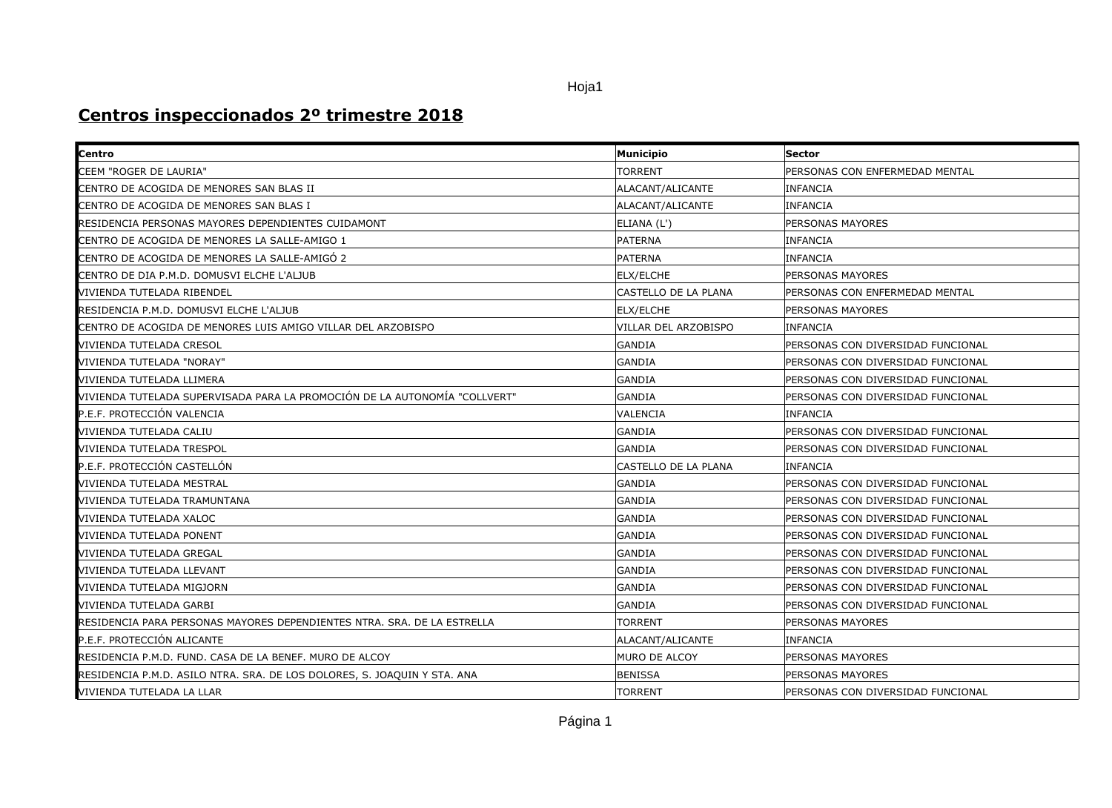## Hoja1

## **Centros inspeccionados 2º trimestre 2018**

| Centro                                                                           | <b>Municipio</b>     | <b>Sector</b>                      |
|----------------------------------------------------------------------------------|----------------------|------------------------------------|
| CEEM "ROGER DE LAURIA"                                                           | <b>TORRENT</b>       | PERSONAS CON ENFERMEDAD MENTAL     |
| CENTRO DE ACOGIDA DE MENORES SAN BLAS II                                         | ALACANT/ALICANTE     | <b>INFANCIA</b>                    |
| CENTRO DE ACOGIDA DE MENORES SAN BLAS I                                          | ALACANT/ALICANTE     | <b>INFANCIA</b>                    |
| RESIDENCIA PERSONAS MAYORES DEPENDIENTES CUIDAMONT                               | ELIANA (L')          | <b>PERSONAS MAYORES</b>            |
| CENTRO DE ACOGIDA DE MENORES LA SALLE-AMIGO 1                                    | <b>PATERNA</b>       | <b>INFANCIA</b>                    |
| CENTRO DE ACOGIDA DE MENORES LA SALLE-AMIGÓ 2                                    | <b>PATERNA</b>       | <b>INFANCIA</b>                    |
| CENTRO DE DIA P.M.D. DOMUSVI ELCHE L'ALJUB                                       | <b>ELX/ELCHE</b>     | <b>PERSONAS MAYORES</b>            |
| VIVIENDA TUTELADA RIBENDEL                                                       | CASTELLO DE LA PLANA | PERSONAS CON ENFERMEDAD MENTAL     |
| RESIDENCIA P.M.D. DOMUSVI ELCHE L'ALJUB                                          | <b>ELX/ELCHE</b>     | <b>PERSONAS MAYORES</b>            |
| CENTRO DE ACOGIDA DE MENORES LUIS AMIGO VILLAR DEL ARZOBISPO                     | VILLAR DEL ARZOBISPO | INFANCIA                           |
| VIVIENDA TUTELADA CRESOL                                                         | GANDIA               | PERSONAS CON DIVERSIDAD FUNCIONAL  |
| VIVIENDA TUTELADA "NORAY"                                                        | <b>GANDIA</b>        | PERSONAS CON DIVERSIDAD FUNCIONAL  |
| VIVIENDA TUTELADA LLIMERA                                                        | GANDIA               | PERSONAS CON DIVERSIDAD FUNCIONAL  |
| VIVIENDA TUTELADA SUPERVISADA PARA LA PROMOCIÓN DE LA AUTONOMÍA "COLLVERT"       | GANDIA               | PERSONAS CON DIVERSIDAD FUNCIONAL  |
| P.E.F. PROTECCIÓN VALENCIA                                                       | VALENCIA             | <b>INFANCIA</b>                    |
| VIVIENDA TUTELADA CALIU                                                          | <b>GANDIA</b>        | PERSONAS CON DIVERSIDAD FUNCIONAL  |
| VIVIENDA TUTELADA TRESPOL                                                        | GANDIA               | PERSONAS CON DIVERSIDAD FUNCIONAL  |
| P.E.F. PROTECCIÓN CASTELLÓN                                                      | CASTELLO DE LA PLANA | <b>INFANCIA</b>                    |
| VIVIENDA TUTELADA MESTRAL                                                        | <b>GANDIA</b>        | PERSONAS CON DIVERSIDAD FUNCIONAL  |
| VIVIENDA TUTELADA TRAMUNTANA                                                     | GANDIA               | PERSONAS CON DIVERSIDAD FUNCIONAL  |
| VIVIENDA TUTELADA XALOC                                                          | <b>GANDIA</b>        | PERSONAS CON DIVERSIDAD FUNCIONAL  |
| VIVIENDA TUTELADA PONENT                                                         | GANDIA               | PERSONAS CON DIVERSIDAD FUNCIONAL  |
| VIVIENDA TUTELADA GREGAL                                                         | <b>GANDIA</b>        | PERSONAS CON DIVERSIDAD FUNCIONAL  |
| VIVIENDA TUTELADA LLEVANT                                                        | <b>GANDIA</b>        | PERSONAS CON DIVERSIDAD FUNCIONAL  |
| VIVIENDA TUTELADA MIGJORN                                                        | <b>GANDIA</b>        | IPERSONAS CON DIVERSIDAD FUNCIONAL |
| VIVIENDA TUTELADA GARBI                                                          | GANDIA               | PERSONAS CON DIVERSIDAD FUNCIONAL  |
| <b>I</b> RESIDENCIA PARA PERSONAS MAYORES DEPENDIENTES NTRA. SRA. DE LA ESTRELLA | <b>TORRENT</b>       | <b>PERSONAS MAYORES</b>            |
| P.E.F. PROTECCIÓN ALICANTE                                                       | ALACANT/ALICANTE     | INFANCIA                           |
| RESIDENCIA P.M.D. FUND. CASA DE LA BENEF. MURO DE ALCOY                          | MURO DE ALCOY        | PERSONAS MAYORES                   |
| RESIDENCIA P.M.D. ASILO NTRA. SRA. DE LOS DOLORES, S. JOAQUIN Y STA. ANA         | <b>BENISSA</b>       | <b>PERSONAS MAYORES</b>            |
| VIVIENDA TUTELADA LA LLAR                                                        | <b>TORRENT</b>       | PERSONAS CON DIVERSIDAD FUNCIONAL  |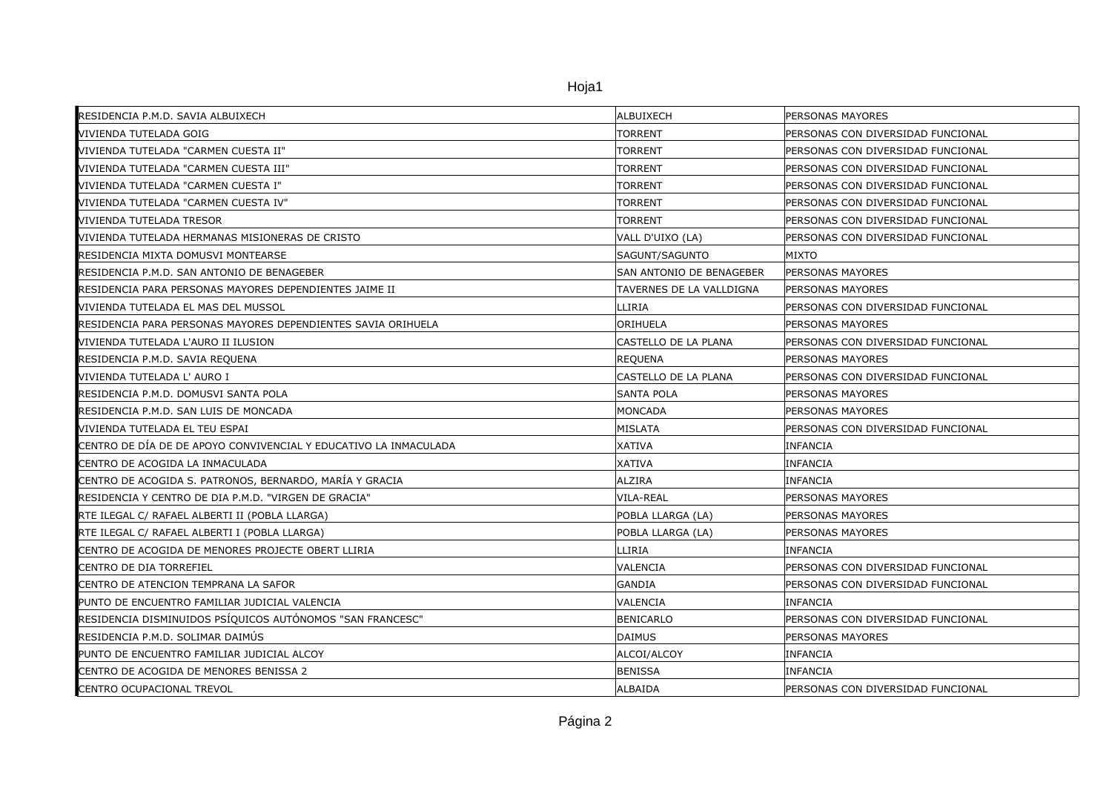| RESIDENCIA P.M.D. SAVIA ALBUIXECH                                | ALBUIXECH                | PERSONAS MAYORES                  |
|------------------------------------------------------------------|--------------------------|-----------------------------------|
| VIVIENDA TUTELADA GOIG                                           | <b>TORRENT</b>           | PERSONAS CON DIVERSIDAD FUNCIONAL |
| VIVIENDA TUTELADA "CARMEN CUESTA II"                             | <b>TORRENT</b>           | PERSONAS CON DIVERSIDAD FUNCIONAL |
| VIVIENDA TUTELADA "CARMEN CUESTA III"                            | <b>TORRENT</b>           | PERSONAS CON DIVERSIDAD FUNCIONAL |
| VIVIENDA TUTELADA "CARMEN CUESTA I"                              | <b>TORRENT</b>           | PERSONAS CON DIVERSIDAD FUNCIONAL |
| VIVIENDA TUTELADA "CARMEN CUESTA IV"                             | <b>TORRENT</b>           | PERSONAS CON DIVERSIDAD FUNCIONAL |
| <b>VIVIENDA TUTELADA TRESOR</b>                                  | <b>TORRENT</b>           | PERSONAS CON DIVERSIDAD FUNCIONAL |
| VIVIENDA TUTELADA HERMANAS MISIONERAS DE CRISTO                  | VALL D'UIXO (LA)         | PERSONAS CON DIVERSIDAD FUNCIONAL |
| RESIDENCIA MIXTA DOMUSVI MONTEARSE                               | SAGUNT/SAGUNTO           | MIXTO                             |
| RESIDENCIA P.M.D. SAN ANTONIO DE BENAGEBER                       | SAN ANTONIO DE BENAGEBER | PERSONAS MAYORES                  |
| RESIDENCIA PARA PERSONAS MAYORES DEPENDIENTES JAIME II           | TAVERNES DE LA VALLDIGNA | PERSONAS MAYORES                  |
| VIVIENDA TUTELADA EL MAS DEL MUSSOL                              | LLIRIA                   | PERSONAS CON DIVERSIDAD FUNCIONAL |
| RESIDENCIA PARA PERSONAS MAYORES DEPENDIENTES SAVIA ORIHUELA     | <b>ORIHUELA</b>          | <b>PERSONAS MAYORES</b>           |
| VIVIENDA TUTELADA L'AURO II ILUSION                              | ICASTELLO DE LA PLANA    | PERSONAS CON DIVERSIDAD FUNCIONAL |
| RESIDENCIA P.M.D. SAVIA REQUENA                                  | <b>REQUENA</b>           | PERSONAS MAYORES                  |
| VIVIENDA TUTELADA L'AURO I                                       | CASTELLO DE LA PLANA     | PERSONAS CON DIVERSIDAD FUNCIONAL |
| RESIDENCIA P.M.D. DOMUSVI SANTA POLA                             | <b>SANTA POLA</b>        | <b>PERSONAS MAYORES</b>           |
| RESIDENCIA P.M.D. SAN LUIS DE MONCADA                            | MONCADA                  | <b>PERSONAS MAYORES</b>           |
| VIVIENDA TUTELADA EL TEU ESPAI                                   | MISLATA                  | PERSONAS CON DIVERSIDAD FUNCIONAL |
| CENTRO DE DÍA DE DE APOYO CONVIVENCIAL Y EDUCATIVO LA INMACULADA | <b>XATIVA</b>            | <b>INFANCIA</b>                   |
| CENTRO DE ACOGIDA LA INMACULADA                                  | <b>XATIVA</b>            | <b>INFANCIA</b>                   |
| CENTRO DE ACOGIDA S. PATRONOS, BERNARDO, MARÍA Y GRACIA          | ALZIRA                   | <b>INFANCIA</b>                   |
| RESIDENCIA Y CENTRO DE DIA P.M.D. "VIRGEN DE GRACIA"             | VILA-REAL                | PERSONAS MAYORES                  |
| RTE ILEGAL C/ RAFAEL ALBERTI II (POBLA LLARGA)                   | POBLA LLARGA (LA)        | PERSONAS MAYORES                  |
| RTE ILEGAL C/ RAFAEL ALBERTI I (POBLA LLARGA)                    | POBLA LLARGA (LA)        | <b>PERSONAS MAYORES</b>           |
| CENTRO DE ACOGIDA DE MENORES PROJECTE OBERT LLIRIA               | LLIRIA                   | INFANCIA                          |
| CENTRO DE DIA TORREFIEL                                          | VALENCIA                 | PERSONAS CON DIVERSIDAD FUNCIONAL |
| CENTRO DE ATENCION TEMPRANA LA SAFOR                             | GANDIA                   | PERSONAS CON DIVERSIDAD FUNCIONAL |
| PUNTO DE ENCUENTRO FAMILIAR JUDICIAL VALENCIA                    | <b>VALENCIA</b>          | INFANCIA                          |
| RESIDENCIA DISMINUIDOS PSÍQUICOS AUTÓNOMOS "SAN FRANCESC"        | BENICARLO                | PERSONAS CON DIVERSIDAD FUNCIONAL |
| RESIDENCIA P.M.D. SOLIMAR DAIMÚS                                 | DAIMUS                   | PERSONAS MAYORES                  |
| PUNTO DE ENCUENTRO FAMILIAR JUDICIAL ALCOY                       | ALCOI/ALCOY              | <b>INFANCIA</b>                   |
| CENTRO DE ACOGIDA DE MENORES BENISSA 2                           | <b>BENISSA</b>           | <b>INFANCIA</b>                   |
| CENTRO OCUPACIONAL TREVOL                                        | ALBAIDA                  | PERSONAS CON DIVERSIDAD FUNCIONAL |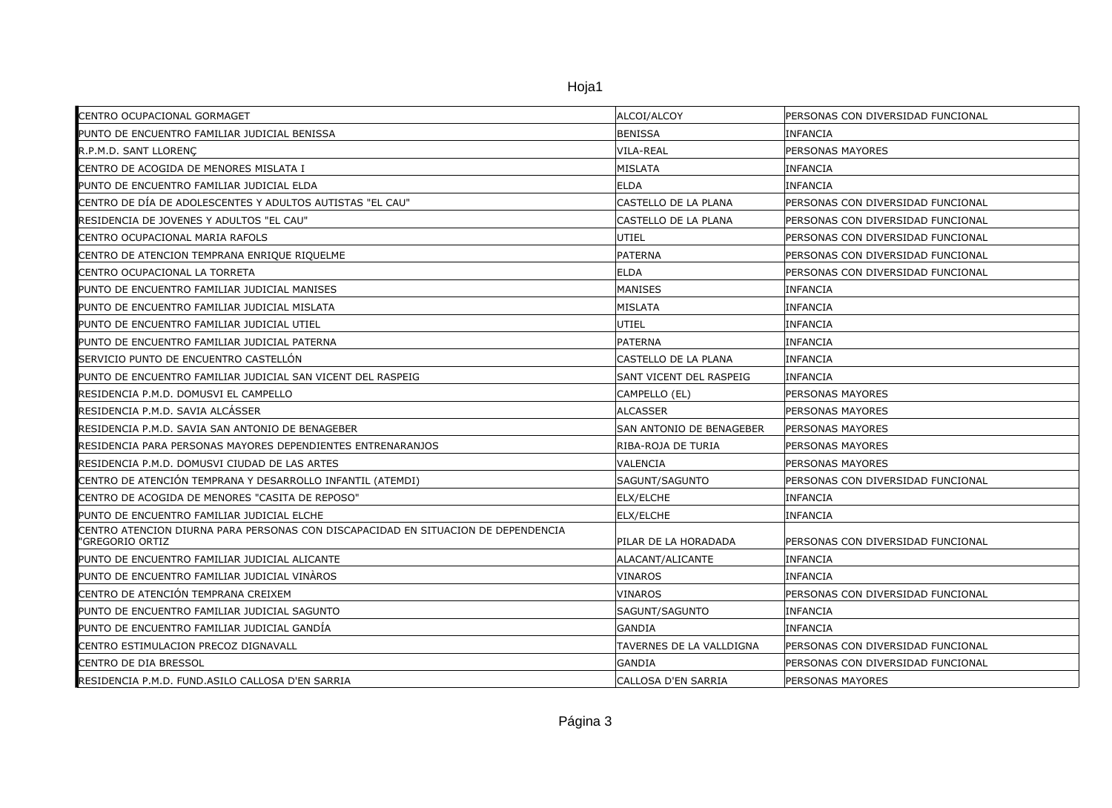Hoja1

| CENTRO OCUPACIONAL GORMAGET                                                                          | ALCOI/ALCOY              | PERSONAS CON DIVERSIDAD FUNCIONAL |
|------------------------------------------------------------------------------------------------------|--------------------------|-----------------------------------|
| PUNTO DE ENCUENTRO FAMILIAR JUDICIAL BENISSA                                                         | <b>BENISSA</b>           | <b>INFANCIA</b>                   |
| R.P.M.D. SANT LLORENC                                                                                | VILA-REAL                | <b>PERSONAS MAYORES</b>           |
| CENTRO DE ACOGIDA DE MENORES MISLATA I                                                               | MISLATA                  | <b>INFANCIA</b>                   |
| PUNTO DE ENCUENTRO FAMILIAR JUDICIAL ELDA                                                            | <b>ELDA</b>              | <b>INFANCIA</b>                   |
| CENTRO DE DÍA DE ADOLESCENTES Y ADULTOS AUTISTAS "EL CAU"                                            | CASTELLO DE LA PLANA     | PERSONAS CON DIVERSIDAD FUNCIONAL |
| RESIDENCIA DE JOVENES Y ADULTOS "EL CAU"                                                             | CASTELLO DE LA PLANA     | PERSONAS CON DIVERSIDAD FUNCIONAL |
| CENTRO OCUPACIONAL MARIA RAFOLS                                                                      | UTIEL                    | PERSONAS CON DIVERSIDAD FUNCIONAL |
| CENTRO DE ATENCION TEMPRANA ENRIQUE RIQUELME                                                         | PATERNA                  | PERSONAS CON DIVERSIDAD FUNCIONAL |
| CENTRO OCUPACIONAL LA TORRETA                                                                        | <b>ELDA</b>              | PERSONAS CON DIVERSIDAD FUNCIONAL |
| PUNTO DE ENCUENTRO FAMILIAR JUDICIAL MANISES                                                         | MANISES                  | <b>INFANCIA</b>                   |
| PUNTO DE ENCUENTRO FAMILIAR JUDICIAL MISLATA                                                         | MISLATA                  | INFANCIA                          |
| PUNTO DE ENCUENTRO FAMILIAR JUDICIAL UTIEL                                                           | UTIEL                    | <b>INFANCIA</b>                   |
| PUNTO DE ENCUENTRO FAMILIAR JUDICIAL PATERNA                                                         | <b>PATERNA</b>           | <b>INFANCIA</b>                   |
| SERVICIO PUNTO DE ENCUENTRO CASTELLÓN                                                                | CASTELLO DE LA PLANA     | <b>INFANCIA</b>                   |
| PUNTO DE ENCUENTRO FAMILIAR JUDICIAL SAN VICENT DEL RASPEIG                                          | SANT VICENT DEL RASPEIG  | <b>INFANCIA</b>                   |
| RESIDENCIA P.M.D. DOMUSVI EL CAMPELLO                                                                | CAMPELLO (EL)            | PERSONAS MAYORES                  |
| RESIDENCIA P.M.D. SAVIA ALCÁSSER                                                                     | <b>ALCASSER</b>          | PERSONAS MAYORES                  |
| RESIDENCIA P.M.D. SAVIA SAN ANTONIO DE BENAGEBER                                                     | SAN ANTONIO DE BENAGEBER | <b>PERSONAS MAYORES</b>           |
| RESIDENCIA PARA PERSONAS MAYORES DEPENDIENTES ENTRENARANJOS                                          | RIBA-ROJA DE TURIA       | PERSONAS MAYORES                  |
| RESIDENCIA P.M.D. DOMUSVI CIUDAD DE LAS ARTES                                                        | VALENCIA                 | <b>PERSONAS MAYORES</b>           |
| CENTRO DE ATENCIÓN TEMPRANA Y DESARROLLO INFANTIL (ATEMDI)                                           | SAGUNT/SAGUNTO           | PERSONAS CON DIVERSIDAD FUNCIONAL |
| CENTRO DE ACOGIDA DE MENORES "CASITA DE REPOSO"                                                      | ELX/ELCHE                | <b>INFANCIA</b>                   |
| PUNTO DE ENCUENTRO FAMILIAR JUDICIAL ELCHE                                                           | ELX/ELCHE                | <b>INFANCIA</b>                   |
| CENTRO ATENCION DIURNA PARA PERSONAS CON DISCAPACIDAD EN SITUACION DE DEPENDENCIA<br>"GREGORIO ORTIZ | PILAR DE LA HORADADA     | PERSONAS CON DIVERSIDAD FUNCIONAL |
| PUNTO DE ENCUENTRO FAMILIAR JUDICIAL ALICANTE                                                        | ALACANT/ALICANTE         | <b>INFANCIA</b>                   |
| PUNTO DE ENCUENTRO FAMILIAR JUDICIAL VINÀROS                                                         | <b>VINAROS</b>           | <b>INFANCIA</b>                   |
| CENTRO DE ATENCIÓN TEMPRANA CREIXEM                                                                  | VINAROS                  | PERSONAS CON DIVERSIDAD FUNCIONAL |
| PUNTO DE ENCUENTRO FAMILIAR JUDICIAL SAGUNTO                                                         | SAGUNT/SAGUNTO           | <b>INFANCIA</b>                   |
| PUNTO DE ENCUENTRO FAMILIAR JUDICIAL GANDÍA                                                          | GANDIA                   | INFANCIA                          |
| CENTRO ESTIMULACION PRECOZ DIGNAVALL                                                                 | TAVERNES DE LA VALLDIGNA | PERSONAS CON DIVERSIDAD FUNCIONAL |
| <b>CENTRO DE DIA BRESSOL</b>                                                                         | <b>GANDIA</b>            | PERSONAS CON DIVERSIDAD FUNCIONAL |
| RESIDENCIA P.M.D. FUND.ASILO CALLOSA D'EN SARRIA                                                     | CALLOSA D'EN SARRIA      | <b>PERSONAS MAYORES</b>           |